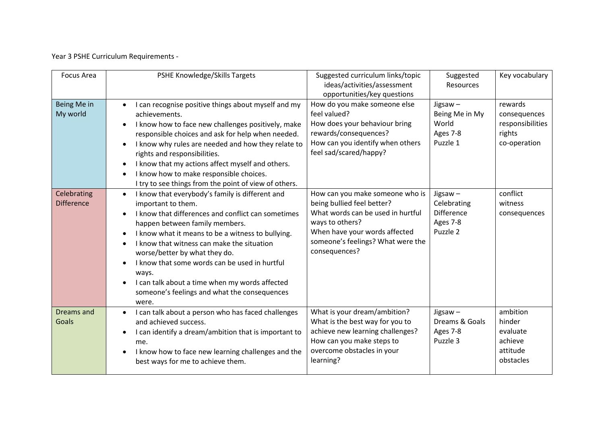Year 3 PSHE Curriculum Requirements -

| <b>Focus Area</b>                | PSHE Knowledge/Skills Targets                                                                                                                                                                                                                                                                                                                                                                                                                                                                    | Suggested curriculum links/topic<br>ideas/activities/assessment<br>opportunities/key questions                                                                                                               | Suggested<br>Resources                                                 | Key vocabulary                                                        |
|----------------------------------|--------------------------------------------------------------------------------------------------------------------------------------------------------------------------------------------------------------------------------------------------------------------------------------------------------------------------------------------------------------------------------------------------------------------------------------------------------------------------------------------------|--------------------------------------------------------------------------------------------------------------------------------------------------------------------------------------------------------------|------------------------------------------------------------------------|-----------------------------------------------------------------------|
| Being Me in<br>My world          | I can recognise positive things about myself and my<br>achievements.<br>I know how to face new challenges positively, make<br>$\bullet$<br>responsible choices and ask for help when needed.<br>I know why rules are needed and how they relate to<br>rights and responsibilities.<br>I know that my actions affect myself and others.<br>I know how to make responsible choices.<br>$\bullet$<br>I try to see things from the point of view of others.                                          | How do you make someone else<br>feel valued?<br>How does your behaviour bring<br>rewards/consequences?<br>How can you identify when others<br>feel sad/scared/happy?                                         | Jigsaw $-$<br>Being Me in My<br>World<br>Ages 7-8<br>Puzzle 1          | rewards<br>consequences<br>responsibilities<br>rights<br>co-operation |
| Celebrating<br><b>Difference</b> | I know that everybody's family is different and<br>$\bullet$<br>important to them.<br>I know that differences and conflict can sometimes<br>$\bullet$<br>happen between family members.<br>I know what it means to be a witness to bullying.<br>I know that witness can make the situation<br>worse/better by what they do.<br>I know that some words can be used in hurtful<br>ways.<br>I can talk about a time when my words affected<br>someone's feelings and what the consequences<br>were. | How can you make someone who is<br>being bullied feel better?<br>What words can be used in hurtful<br>ways to others?<br>When have your words affected<br>someone's feelings? What were the<br>consequences? | Jigsaw $-$<br>Celebrating<br><b>Difference</b><br>Ages 7-8<br>Puzzle 2 | conflict<br>witness<br>consequences                                   |
| <b>Dreams and</b><br>Goals       | I can talk about a person who has faced challenges<br>$\bullet$<br>and achieved success.<br>I can identify a dream/ambition that is important to<br>$\bullet$<br>me.<br>I know how to face new learning challenges and the<br>$\bullet$<br>best ways for me to achieve them.                                                                                                                                                                                                                     | What is your dream/ambition?<br>What is the best way for you to<br>achieve new learning challenges?<br>How can you make steps to<br>overcome obstacles in your<br>learning?                                  | Jigsaw $-$<br>Dreams & Goals<br>Ages 7-8<br>Puzzle 3                   | ambition<br>hinder<br>evaluate<br>achieve<br>attitude<br>obstacles    |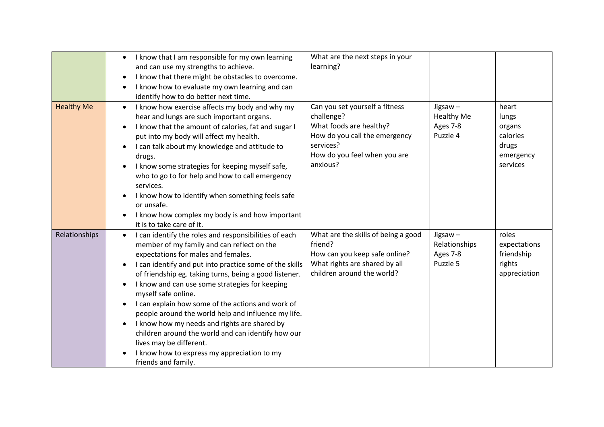|                   | I know that I am responsible for my own learning<br>$\bullet$        | What are the next steps in your     |               |              |
|-------------------|----------------------------------------------------------------------|-------------------------------------|---------------|--------------|
|                   | and can use my strengths to achieve.                                 | learning?                           |               |              |
|                   | I know that there might be obstacles to overcome.<br>٠               |                                     |               |              |
|                   | I know how to evaluate my own learning and can<br>$\bullet$          |                                     |               |              |
|                   | identify how to do better next time.                                 |                                     |               |              |
| <b>Healthy Me</b> | I know how exercise affects my body and why my<br>$\bullet$          | Can you set yourself a fitness      | Jigsaw $-$    | heart        |
|                   | hear and lungs are such important organs.                            | challenge?                          | Healthy Me    | lungs        |
|                   | I know that the amount of calories, fat and sugar I                  | What foods are healthy?             | Ages 7-8      | organs       |
|                   | put into my body will affect my health.                              | How do you call the emergency       | Puzzle 4      | calories     |
|                   | I can talk about my knowledge and attitude to<br>$\bullet$           | services?                           |               | drugs        |
|                   | drugs.                                                               | How do you feel when you are        |               | emergency    |
|                   | I know some strategies for keeping myself safe,                      | anxious?                            |               | services     |
|                   | who to go to for help and how to call emergency                      |                                     |               |              |
|                   | services.                                                            |                                     |               |              |
|                   | I know how to identify when something feels safe                     |                                     |               |              |
|                   | or unsafe.                                                           |                                     |               |              |
|                   | I know how complex my body is and how important                      |                                     |               |              |
|                   | it is to take care of it.                                            |                                     |               |              |
| Relationships     | I can identify the roles and responsibilities of each<br>$\bullet$   | What are the skills of being a good | Jigsaw-       | roles        |
|                   | member of my family and can reflect on the                           | friend?                             | Relationships | expectations |
|                   | expectations for males and females.                                  | How can you keep safe online?       | Ages 7-8      | friendship   |
|                   | I can identify and put into practice some of the skills<br>$\bullet$ | What rights are shared by all       | Puzzle 5      | rights       |
|                   | of friendship eg. taking turns, being a good listener.               | children around the world?          |               | appreciation |
|                   | I know and can use some strategies for keeping<br>$\bullet$          |                                     |               |              |
|                   | myself safe online.                                                  |                                     |               |              |
|                   | I can explain how some of the actions and work of                    |                                     |               |              |
|                   | people around the world help and influence my life.                  |                                     |               |              |
|                   | I know how my needs and rights are shared by<br>$\bullet$            |                                     |               |              |
|                   | children around the world and can identify how our                   |                                     |               |              |
|                   | lives may be different.                                              |                                     |               |              |
|                   | I know how to express my appreciation to my                          |                                     |               |              |
|                   | friends and family.                                                  |                                     |               |              |